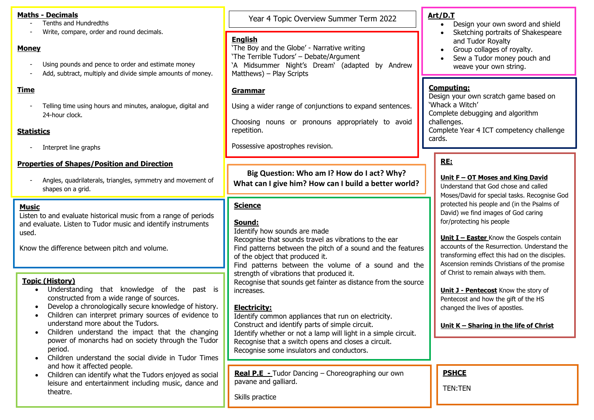- Tenths and Hundredths
- Write, compare, order and round decimals.

#### **Money**

- Using pounds and pence to order and estimate money
- Add, subtract, multiply and divide simple amounts of money.

## **Time**

Telling time using hours and minutes, analogue, digital and 24-hour clock.

## **Statistics**

Interpret line graphs

#### **Properties of Shapes/Position and Direction**

- Angles, quadrilaterals, triangles, symmetry and movement of shapes on a grid.

#### **Music**

Listen to and evaluate historical music from a range of periods and evaluate. Listen to Tudor music and identify instruments used.

Know the difference between pitch and volume.

## **Topic (History)**

- Understanding that knowledge of the past is constructed from a wide range of sources.
- Develop a chronologically secure knowledge of history.
- Children can interpret primary sources of evidence to understand more about the Tudors.
- Children understand the impact that the changing power of monarchs had on society through the Tudor period.
- Children understand the social divide in Tudor Times and how it affected people.
- Children can identify what the Tudors enjoyed as social leisure and entertainment including music, dance and theatre.

Year 4 Topic Overview Summer Term 2022 **Maths - Decimals**

## **English**

'The Boy and the Globe' - Narrative writing 'The Terrible Tudors' – Debate/Argument 'A Midsummer Night's Dream' (adapted by Andrew Matthews) – Play Scripts

## **Grammar**

Using a wider range of conjunctions to expand sentences.

Choosing nouns or pronouns appropriately to avoid repetition.

Possessive apostrophes revision.

**Big Question: Who am I? How do I act? Why? What can I give him? How can I build a better world?**

## **Science**

## **Sound:**

Identify how sounds are made

Recognise that sounds travel as vibrations to the ear Find patterns between the pitch of a sound and the features of the object that produced it.

Find patterns between the volume of a sound and the strength of vibrations that produced it.

Recognise that sounds get fainter as distance from the source increases.

## **Electricity:**

Identify common appliances that run on electricity. Construct and identify parts of simple circuit. Identify whether or not a lamp will light in a simple circuit. Recognise that a switch opens and closes a circuit. Recognise some insulators and conductors.

**Real P.E -** Tudor Dancing – Choreographing our own pavane and galliard.

Skills practice

# **Art/D.T**

- Design your own sword and shield
- Sketching portraits of Shakespeare and Tudor Royalty
- Group collages of royalty.
- Sew a Tudor money pouch and weave your own string.

#### **Computing:**

Design your own scratch game based on 'Whack a Witch' Complete debugging and algorithm challenges. Complete Year 4 ICT competency challenge cards.

# **RE:**

## **Unit F – OT Moses and King David**

Understand that God chose and called Moses/David for special tasks. Recognise God protected his people and (in the Psalms of David) we find images of God caring for/protecting his people

**Unit I – Easter** Know the Gospels contain accounts of the Resurrection. Understand the transforming effect this had on the disciples. Ascension reminds Christians of the promise of Christ to remain always with them.

**Unit J - Pentecost** Know the story of Pentecost and how the gift of the HS changed the lives of apostles.

## **Unit K – Sharing in the life of Christ**

**PSHCE**

TEN:TEN